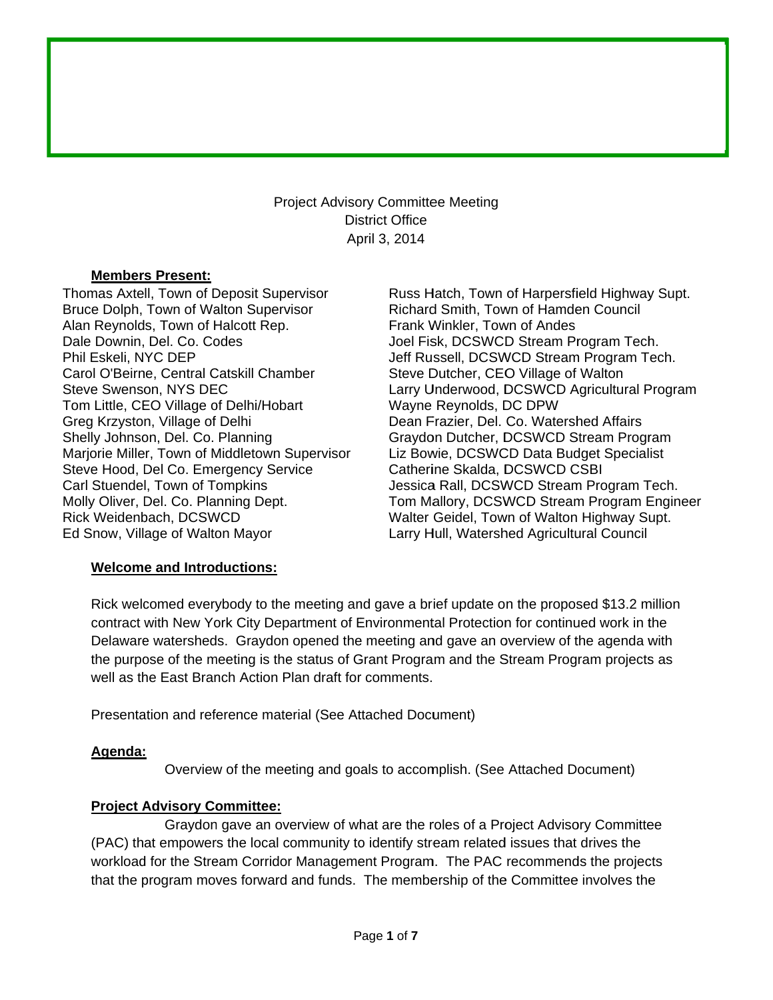Project Advisory Committee Meeting District Office Ap pril 3, 2014

#### **Member s Present:**

Thomas Axtell, Town of Deposit Supervisor Bruce Dolph, Town of Walton Supervisor A lan Reynold s, Town of H Halcott Rep. Dale Downin, Del. Co. Codes P hil Eskeli, N YC DEP Carol O'Beirne, Central Catskill Chamber Steve Swenson, NYS DEC Tom Little, CEO Village of Delhi/Hobart G Greg Krzysto n, Village of Delhi Shelly Johnson, Del. Co. Planning Marjorie Miller, Town of Middletown Supervisor Steve Hood, Del Co. Emergency Service C arl Stuende l, Town of T ompkins Molly Oliver, Del. Co. Planning Dept. R Rick Weidenb bach, DCSW WCD Ed Snow, Village of Walton Mayor

Russ Hatch, Town of Harpersfield Highway Supt. Richard Smith, Town of Hamden Council Frank Winkler, Town of Andes Joel Fisk, DCSWCD Stream Program Tech. Jeff Russell, DCSWCD Stream Program Tech. Steve Dutcher, CEO Village of Walton Larry Underwood, DCSWCD Agricultural Program Wayne Reynolds, DC DPW Dean F Frazier, Del. Co. Watersh hed Affairs Graydon Dutcher, DCSWCD Stream Program Liz Bowie, DCSWCD Data Budget Specialist Catherine Skalda, DCSWCD CSBI Jessica Rall, DCSWCD Stream Program Tech. Tom Mallory, DCSWCD Stream Program Engineer Walter Geidel, Town of Walton Highway Supt. Larry Hull, Watershed Agricultural Council

#### **Welcome and Introductions:**

Rick welcomed everybody to the meeting and gave a brief update on the proposed \$13.2 million contract with New York City Department of Environmental Protection for continued work in the Delaware watersheds. Graydon opened the meeting and gave an overview of the agenda with the purpose of the meeting is the status of Grant Program and the Stream Program projects as well as the East Branch Action Plan draft for comments.

Presentation and reference material (See Attached Document)

#### **Agenda: :**

Overview of the meeting and goals to accomplish. (See Attached Document)

#### **Project Advisory Committee:**

(PAC) that empowers the local community to identify stream related issues that drives the workload for the Stream Corridor Management Program. The PAC recommends the projects that the program moves forward and funds. The membership of the Committee involves the Graydon gave an overview of what are the roles of a Project Advisory Committee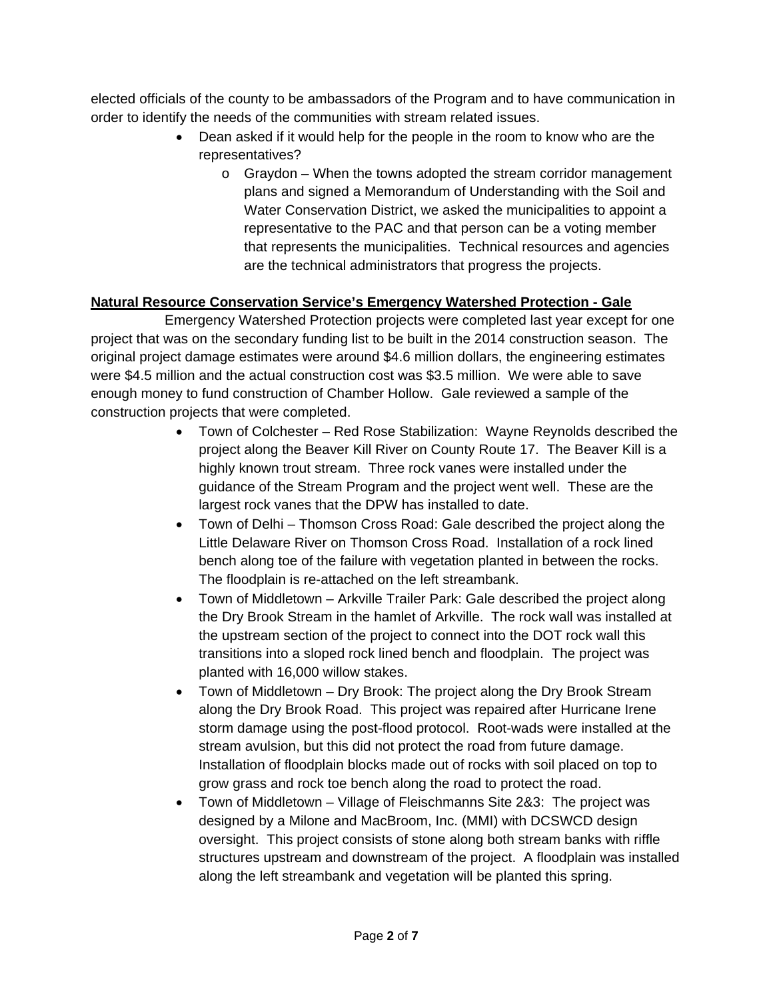elected officials of the county to be ambassadors of the Program and to have communication in order to identify the needs of the communities with stream related issues.

- Dean asked if it would help for the people in the room to know who are the representatives?
	- o Graydon When the towns adopted the stream corridor management plans and signed a Memorandum of Understanding with the Soil and Water Conservation District, we asked the municipalities to appoint a representative to the PAC and that person can be a voting member that represents the municipalities. Technical resources and agencies are the technical administrators that progress the projects.

### **Natural Resource Conservation Service's Emergency Watershed Protection - Gale**

 Emergency Watershed Protection projects were completed last year except for one project that was on the secondary funding list to be built in the 2014 construction season. The original project damage estimates were around \$4.6 million dollars, the engineering estimates were \$4.5 million and the actual construction cost was \$3.5 million. We were able to save enough money to fund construction of Chamber Hollow. Gale reviewed a sample of the construction projects that were completed.

- Town of Colchester Red Rose Stabilization: Wayne Reynolds described the project along the Beaver Kill River on County Route 17. The Beaver Kill is a highly known trout stream. Three rock vanes were installed under the guidance of the Stream Program and the project went well. These are the largest rock vanes that the DPW has installed to date.
- Town of Delhi Thomson Cross Road: Gale described the project along the Little Delaware River on Thomson Cross Road. Installation of a rock lined bench along toe of the failure with vegetation planted in between the rocks. The floodplain is re-attached on the left streambank.
- Town of Middletown Arkville Trailer Park: Gale described the project along the Dry Brook Stream in the hamlet of Arkville. The rock wall was installed at the upstream section of the project to connect into the DOT rock wall this transitions into a sloped rock lined bench and floodplain. The project was planted with 16,000 willow stakes.
- Town of Middletown Dry Brook: The project along the Dry Brook Stream along the Dry Brook Road. This project was repaired after Hurricane Irene storm damage using the post-flood protocol. Root-wads were installed at the stream avulsion, but this did not protect the road from future damage. Installation of floodplain blocks made out of rocks with soil placed on top to grow grass and rock toe bench along the road to protect the road.
- Town of Middletown Village of Fleischmanns Site 2&3: The project was designed by a Milone and MacBroom, Inc. (MMI) with DCSWCD design oversight. This project consists of stone along both stream banks with riffle structures upstream and downstream of the project. A floodplain was installed along the left streambank and vegetation will be planted this spring.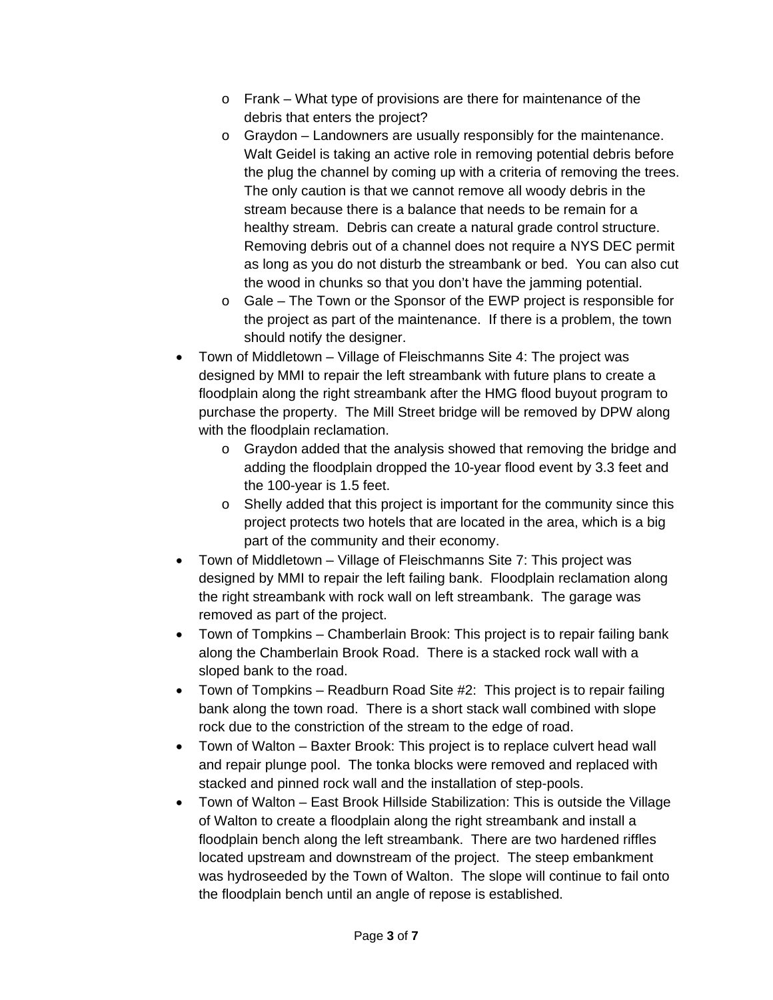- o Frank What type of provisions are there for maintenance of the debris that enters the project?
- o Graydon Landowners are usually responsibly for the maintenance. Walt Geidel is taking an active role in removing potential debris before the plug the channel by coming up with a criteria of removing the trees. The only caution is that we cannot remove all woody debris in the stream because there is a balance that needs to be remain for a healthy stream. Debris can create a natural grade control structure. Removing debris out of a channel does not require a NYS DEC permit as long as you do not disturb the streambank or bed. You can also cut the wood in chunks so that you don't have the jamming potential.
- o Gale The Town or the Sponsor of the EWP project is responsible for the project as part of the maintenance. If there is a problem, the town should notify the designer.
- Town of Middletown Village of Fleischmanns Site 4: The project was designed by MMI to repair the left streambank with future plans to create a floodplain along the right streambank after the HMG flood buyout program to purchase the property. The Mill Street bridge will be removed by DPW along with the floodplain reclamation.
	- o Graydon added that the analysis showed that removing the bridge and adding the floodplain dropped the 10-year flood event by 3.3 feet and the 100-year is 1.5 feet.
	- o Shelly added that this project is important for the community since this project protects two hotels that are located in the area, which is a big part of the community and their economy.
- Town of Middletown Village of Fleischmanns Site 7: This project was designed by MMI to repair the left failing bank. Floodplain reclamation along the right streambank with rock wall on left streambank. The garage was removed as part of the project.
- Town of Tompkins Chamberlain Brook: This project is to repair failing bank along the Chamberlain Brook Road. There is a stacked rock wall with a sloped bank to the road.
- Town of Tompkins Readburn Road Site #2: This project is to repair failing bank along the town road. There is a short stack wall combined with slope rock due to the constriction of the stream to the edge of road.
- Town of Walton Baxter Brook: This project is to replace culvert head wall and repair plunge pool. The tonka blocks were removed and replaced with stacked and pinned rock wall and the installation of step-pools.
- Town of Walton East Brook Hillside Stabilization: This is outside the Village of Walton to create a floodplain along the right streambank and install a floodplain bench along the left streambank. There are two hardened riffles located upstream and downstream of the project. The steep embankment was hydroseeded by the Town of Walton. The slope will continue to fail onto the floodplain bench until an angle of repose is established.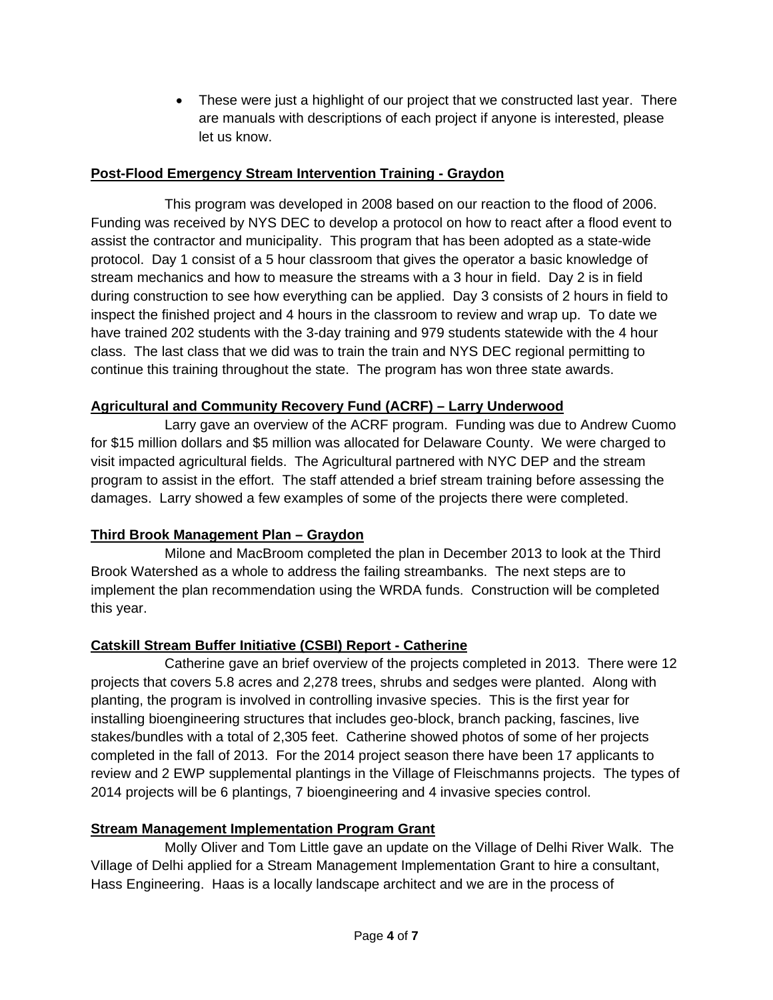These were just a highlight of our project that we constructed last year. There are manuals with descriptions of each project if anyone is interested, please let us know.

### **Post-Flood Emergency Stream Intervention Training - Graydon**

 This program was developed in 2008 based on our reaction to the flood of 2006. Funding was received by NYS DEC to develop a protocol on how to react after a flood event to assist the contractor and municipality. This program that has been adopted as a state-wide protocol. Day 1 consist of a 5 hour classroom that gives the operator a basic knowledge of stream mechanics and how to measure the streams with a 3 hour in field. Day 2 is in field during construction to see how everything can be applied. Day 3 consists of 2 hours in field to inspect the finished project and 4 hours in the classroom to review and wrap up. To date we have trained 202 students with the 3-day training and 979 students statewide with the 4 hour class. The last class that we did was to train the train and NYS DEC regional permitting to continue this training throughout the state. The program has won three state awards.

# **Agricultural and Community Recovery Fund (ACRF) – Larry Underwood**

 Larry gave an overview of the ACRF program. Funding was due to Andrew Cuomo for \$15 million dollars and \$5 million was allocated for Delaware County. We were charged to visit impacted agricultural fields. The Agricultural partnered with NYC DEP and the stream program to assist in the effort. The staff attended a brief stream training before assessing the damages. Larry showed a few examples of some of the projects there were completed.

# **Third Brook Management Plan – Graydon**

 Milone and MacBroom completed the plan in December 2013 to look at the Third Brook Watershed as a whole to address the failing streambanks. The next steps are to implement the plan recommendation using the WRDA funds. Construction will be completed this year.

# **Catskill Stream Buffer Initiative (CSBI) Report - Catherine**

 Catherine gave an brief overview of the projects completed in 2013. There were 12 projects that covers 5.8 acres and 2,278 trees, shrubs and sedges were planted. Along with planting, the program is involved in controlling invasive species. This is the first year for installing bioengineering structures that includes geo-block, branch packing, fascines, live stakes/bundles with a total of 2,305 feet. Catherine showed photos of some of her projects completed in the fall of 2013. For the 2014 project season there have been 17 applicants to review and 2 EWP supplemental plantings in the Village of Fleischmanns projects. The types of 2014 projects will be 6 plantings, 7 bioengineering and 4 invasive species control.

# **Stream Management Implementation Program Grant**

 Molly Oliver and Tom Little gave an update on the Village of Delhi River Walk. The Village of Delhi applied for a Stream Management Implementation Grant to hire a consultant, Hass Engineering. Haas is a locally landscape architect and we are in the process of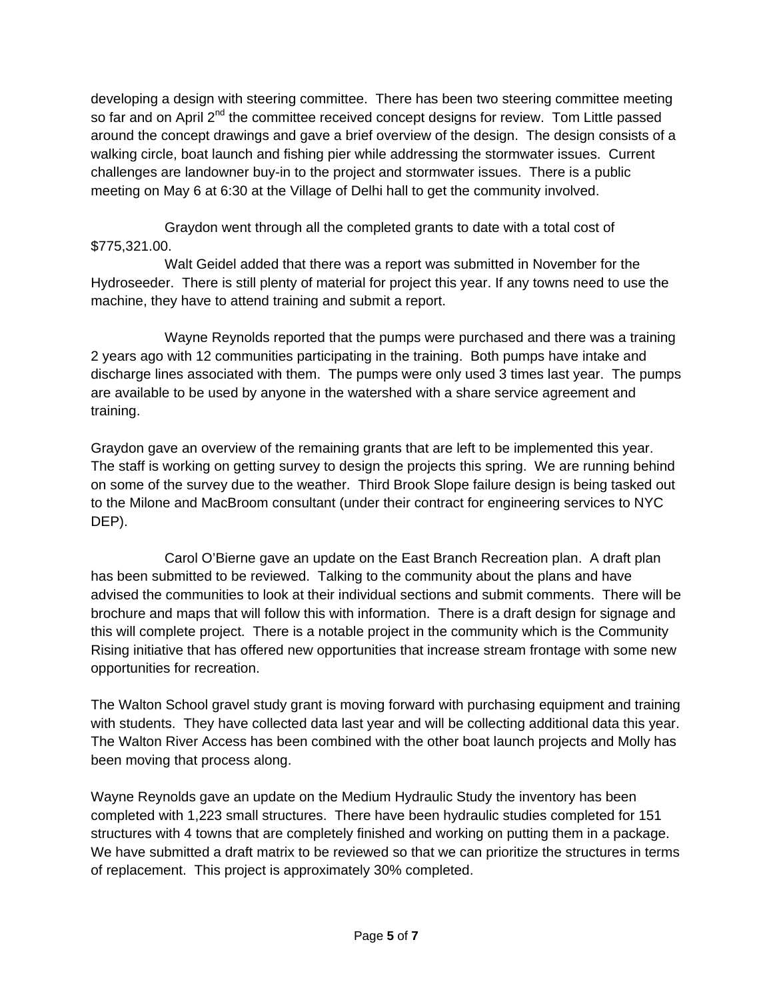developing a design with steering committee. There has been two steering committee meeting so far and on April 2<sup>nd</sup> the committee received concept designs for review. Tom Little passed around the concept drawings and gave a brief overview of the design. The design consists of a walking circle, boat launch and fishing pier while addressing the stormwater issues. Current challenges are landowner buy-in to the project and stormwater issues. There is a public meeting on May 6 at 6:30 at the Village of Delhi hall to get the community involved.

 Graydon went through all the completed grants to date with a total cost of \$775,321.00.

 Walt Geidel added that there was a report was submitted in November for the Hydroseeder. There is still plenty of material for project this year. If any towns need to use the machine, they have to attend training and submit a report.

 Wayne Reynolds reported that the pumps were purchased and there was a training 2 years ago with 12 communities participating in the training. Both pumps have intake and discharge lines associated with them. The pumps were only used 3 times last year. The pumps are available to be used by anyone in the watershed with a share service agreement and training.

Graydon gave an overview of the remaining grants that are left to be implemented this year. The staff is working on getting survey to design the projects this spring. We are running behind on some of the survey due to the weather. Third Brook Slope failure design is being tasked out to the Milone and MacBroom consultant (under their contract for engineering services to NYC DEP).

 Carol O'Bierne gave an update on the East Branch Recreation plan. A draft plan has been submitted to be reviewed. Talking to the community about the plans and have advised the communities to look at their individual sections and submit comments. There will be brochure and maps that will follow this with information. There is a draft design for signage and this will complete project. There is a notable project in the community which is the Community Rising initiative that has offered new opportunities that increase stream frontage with some new opportunities for recreation.

The Walton School gravel study grant is moving forward with purchasing equipment and training with students. They have collected data last year and will be collecting additional data this year. The Walton River Access has been combined with the other boat launch projects and Molly has been moving that process along.

Wayne Reynolds gave an update on the Medium Hydraulic Study the inventory has been completed with 1,223 small structures. There have been hydraulic studies completed for 151 structures with 4 towns that are completely finished and working on putting them in a package. We have submitted a draft matrix to be reviewed so that we can prioritize the structures in terms of replacement. This project is approximately 30% completed.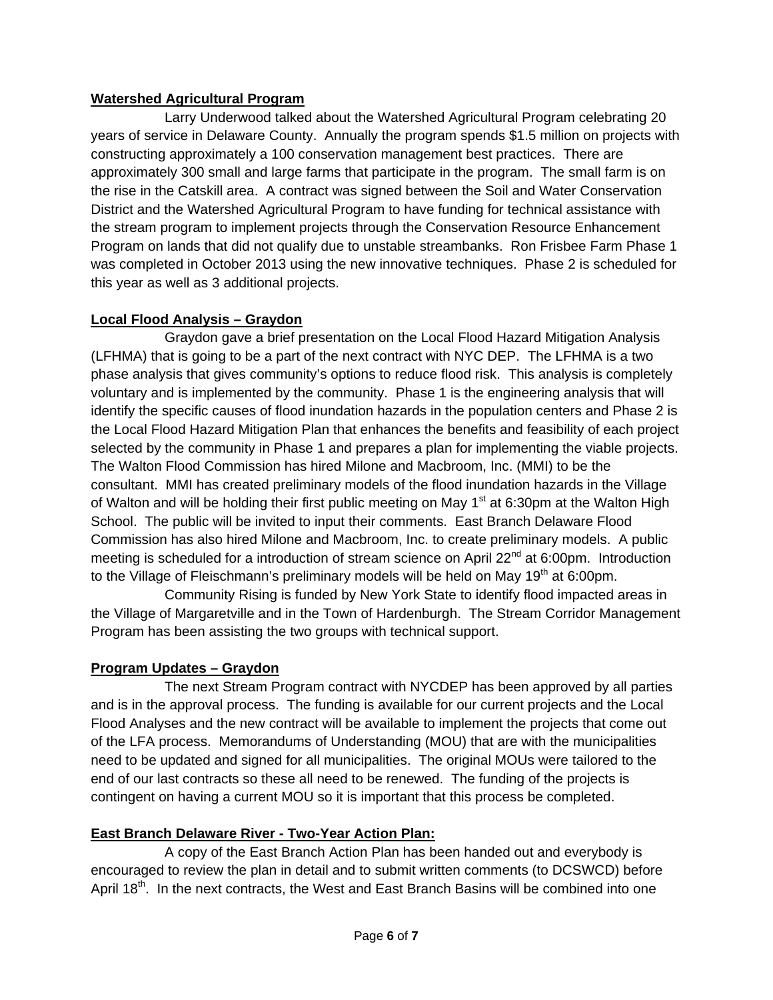### **Watershed Agricultural Program**

 Larry Underwood talked about the Watershed Agricultural Program celebrating 20 years of service in Delaware County. Annually the program spends \$1.5 million on projects with constructing approximately a 100 conservation management best practices. There are approximately 300 small and large farms that participate in the program. The small farm is on the rise in the Catskill area. A contract was signed between the Soil and Water Conservation District and the Watershed Agricultural Program to have funding for technical assistance with the stream program to implement projects through the Conservation Resource Enhancement Program on lands that did not qualify due to unstable streambanks. Ron Frisbee Farm Phase 1 was completed in October 2013 using the new innovative techniques. Phase 2 is scheduled for this year as well as 3 additional projects.

### **Local Flood Analysis – Graydon**

 Graydon gave a brief presentation on the Local Flood Hazard Mitigation Analysis (LFHMA) that is going to be a part of the next contract with NYC DEP. The LFHMA is a two phase analysis that gives community's options to reduce flood risk. This analysis is completely voluntary and is implemented by the community. Phase 1 is the engineering analysis that will identify the specific causes of flood inundation hazards in the population centers and Phase 2 is the Local Flood Hazard Mitigation Plan that enhances the benefits and feasibility of each project selected by the community in Phase 1 and prepares a plan for implementing the viable projects. The Walton Flood Commission has hired Milone and Macbroom, Inc. (MMI) to be the consultant. MMI has created preliminary models of the flood inundation hazards in the Village of Walton and will be holding their first public meeting on May 1<sup>st</sup> at 6:30pm at the Walton High School. The public will be invited to input their comments. East Branch Delaware Flood Commission has also hired Milone and Macbroom, Inc. to create preliminary models. A public meeting is scheduled for a introduction of stream science on April 22<sup>nd</sup> at 6:00pm. Introduction to the Village of Fleischmann's preliminary models will be held on May  $19<sup>th</sup>$  at 6:00pm.

 Community Rising is funded by New York State to identify flood impacted areas in the Village of Margaretville and in the Town of Hardenburgh. The Stream Corridor Management Program has been assisting the two groups with technical support.

### **Program Updates – Graydon**

 The next Stream Program contract with NYCDEP has been approved by all parties and is in the approval process. The funding is available for our current projects and the Local Flood Analyses and the new contract will be available to implement the projects that come out of the LFA process. Memorandums of Understanding (MOU) that are with the municipalities need to be updated and signed for all municipalities. The original MOUs were tailored to the end of our last contracts so these all need to be renewed. The funding of the projects is contingent on having a current MOU so it is important that this process be completed.

# **East Branch Delaware River - Two-Year Action Plan:**

 A copy of the East Branch Action Plan has been handed out and everybody is encouraged to review the plan in detail and to submit written comments (to DCSWCD) before April 18<sup>th</sup>. In the next contracts, the West and East Branch Basins will be combined into one